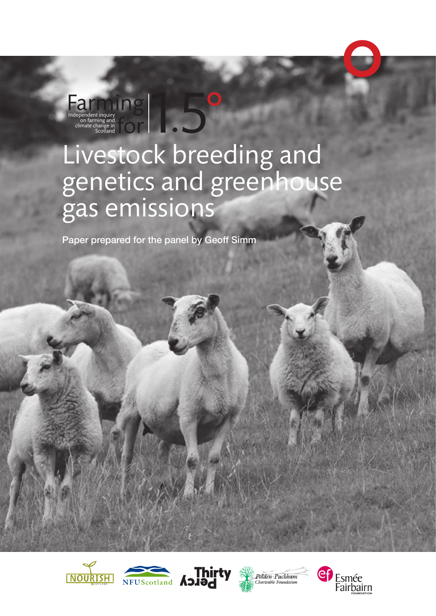# Livestock breeding and genetics and greenhouse gas emissions t inquiry<br>thing and<br>Anange in<br>Scotland **for the contract of the contract of the contract of the contract of the contract of the contract of the contract of the contract of the contract of the contract of the contract of th** O

LO<sub>0</sub>

Paper prepared for the panel by Geoff Simm

Farming Independent inquiry<br>
on farming and

climate change in







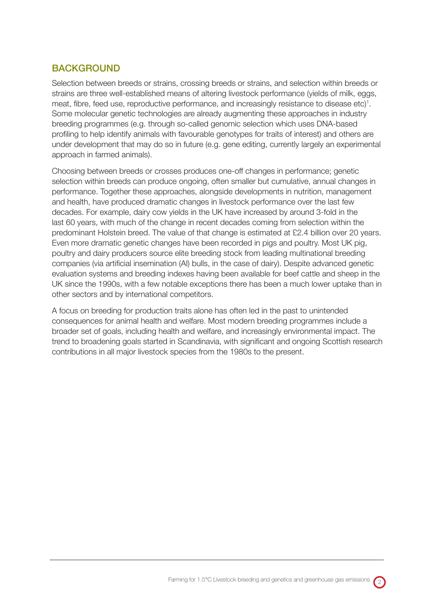# **BACKGROUND**

Selection between breeds or strains, crossing breeds or strains, and selection within breeds or strains are three well-established means of altering livestock performance (yields of milk, eggs, meat, fibre, feed use, reproductive performance, and increasingly resistance to disease etc)<sup>1</sup>. Some molecular genetic technologies are already augmenting these approaches in industry breeding programmes (e.g. through so-called genomic selection which uses DNA-based profiling to help identify animals with favourable genotypes for traits of interest) and others are under development that may do so in future (e.g. gene editing, currently largely an experimental approach in farmed animals).

Choosing between breeds or crosses produces one-off changes in performance; genetic selection within breeds can produce ongoing, often smaller but cumulative, annual changes in performance. Together these approaches, alongside developments in nutrition, management and health, have produced dramatic changes in livestock performance over the last few decades. For example, dairy cow yields in the UK have increased by around 3-fold in the last 60 years, with much of the change in recent decades coming from selection within the predominant Holstein breed. The value of that change is estimated at £2.4 billion over 20 years. Even more dramatic genetic changes have been recorded in pigs and poultry. Most UK pig, poultry and dairy producers source elite breeding stock from leading multinational breeding companies (via artificial insemination (AI) bulls, in the case of dairy). Despite advanced genetic evaluation systems and breeding indexes having been available for beef cattle and sheep in the UK since the 1990s, with a few notable exceptions there has been a much lower uptake than in other sectors and by international competitors.

A focus on breeding for production traits alone has often led in the past to unintended consequences for animal health and welfare. Most modern breeding programmes include a broader set of goals, including health and welfare, and increasingly environmental impact. The trend to broadening goals started in Scandinavia, with significant and ongoing Scottish research contributions in all major livestock species from the 1980s to the present.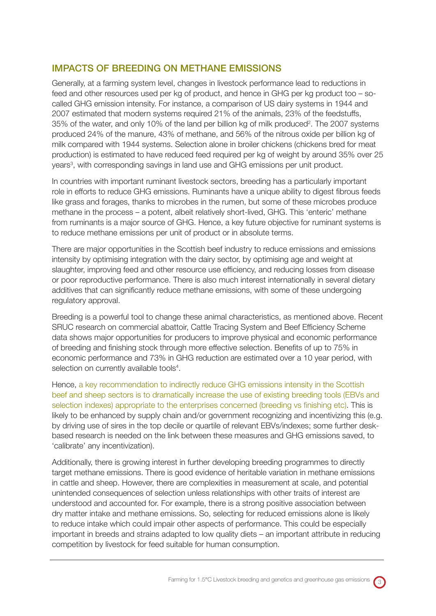## IMPACTS OF BREEDING ON METHANE EMISSIONS

Generally, at a farming system level, changes in livestock performance lead to reductions in feed and other resources used per kg of product, and hence in GHG per kg product too – socalled GHG emission intensity. For instance, a comparison of US dairy systems in 1944 and 2007 estimated that modern systems required 21% of the animals, 23% of the feedstuffs, 35% of the water, and only 10% of the land per billion kg of milk produced<sup>2</sup>. The 2007 systems produced 24% of the manure, 43% of methane, and 56% of the nitrous oxide per billion kg of milk compared with 1944 systems. Selection alone in broiler chickens (chickens bred for meat production) is estimated to have reduced feed required per kg of weight by around 35% over 25 years<sup>3</sup>, with corresponding savings in land use and GHG emissions per unit product.

In countries with important ruminant livestock sectors, breeding has a particularly important role in efforts to reduce GHG emissions. Ruminants have a unique ability to digest fibrous feeds like grass and forages, thanks to microbes in the rumen, but some of these microbes produce methane in the process – a potent, albeit relatively short-lived, GHG. This 'enteric' methane from ruminants is a major source of GHG. Hence, a key future objective for ruminant systems is to reduce methane emissions per unit of product or in absolute terms.

There are major opportunities in the Scottish beef industry to reduce emissions and emissions intensity by optimising integration with the dairy sector, by optimising age and weight at slaughter, improving feed and other resource use efficiency, and reducing losses from disease or poor reproductive performance. There is also much interest internationally in several dietary additives that can significantly reduce methane emissions, with some of these undergoing regulatory approval.

Breeding is a powerful tool to change these animal characteristics, as mentioned above. Recent SRUC research on commercial abattoir, Cattle Tracing System and Beef Efficiency Scheme data shows major opportunities for producers to improve physical and economic performance of breeding and finishing stock through more effective selection. Benefits of up to 75% in economic performance and 73% in GHG reduction are estimated over a 10 year period, with selection on currently available tools<sup>4</sup>.

Hence, a key recommendation to indirectly reduce GHG emissions intensity in the Scottish beef and sheep sectors is to dramatically increase the use of existing breeding tools (EBVs and selection indexes) appropriate to the enterprises concerned (breeding vs finishing etc). This is likely to be enhanced by supply chain and/or government recognizing and incentivizing this (e.g. by driving use of sires in the top decile or quartile of relevant EBVs/indexes; some further deskbased research is needed on the link between these measures and GHG emissions saved, to 'calibrate' any incentivization).

Additionally, there is growing interest in further developing breeding programmes to directly target methane emissions. There is good evidence of heritable variation in methane emissions in cattle and sheep. However, there are complexities in measurement at scale, and potential unintended consequences of selection unless relationships with other traits of interest are understood and accounted for. For example, there is a strong positive association between dry matter intake and methane emissions. So, selecting for reduced emissions alone is likely to reduce intake which could impair other aspects of performance. This could be especially important in breeds and strains adapted to low quality diets – an important attribute in reducing competition by livestock for feed suitable for human consumption.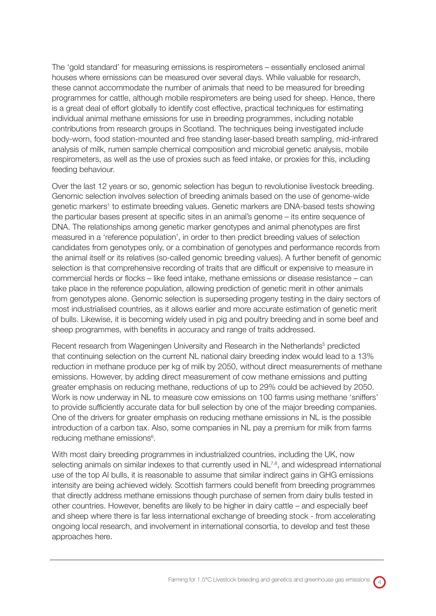The 'gold standard' for measuring emissions is respirometers – essentially enclosed animal houses where emissions can be measured over several days. While valuable for research, these cannot accommodate the number of animals that need to be measured for breeding programmes for cattle, although mobile respirometers are being used for sheep. Hence, there is a great deal of effort globally to identify cost effective, practical techniques for estimating individual animal methane emissions for use in breeding programmes, including notable contributions from research groups in Scotland. The techniques being investigated include body-worn, food station-mounted and free standing laser-based breath sampling, mid-infrared analysis of milk, rumen sample chemical composition and microbial genetic analysis, mobile respirometers, as well as the use of proxies such as feed intake, or proxies for this, including feeding behaviour.

Over the last 12 years or so, genomic selection has begun to revolutionise livestock breeding. Genomic selection involves selection of breeding animals based on the use of genome-wide genetic markers<sup>1</sup> to estimate breeding values. Genetic markers are DNA-based tests showing the particular bases present at specific sites in an animal's genome – its entire sequence of DNA. The relationships among genetic marker genotypes and animal phenotypes are first measured in a 'reference population', in order to then predict breeding values of selection candidates from genotypes only, or a combination of genotypes and performance records from the animal itself or its relatives (so-called genomic breeding values). A further benefit of genomic selection is that comprehensive recording of traits that are difficult or expensive to measure in commercial herds or flocks – like feed intake, methane emissions or disease resistance – can take place in the reference population, allowing prediction of genetic merit in other animals from genotypes alone. Genomic selection is superseding progeny testing in the dairy sectors of most industrialised countries, as it allows earlier and more accurate estimation of genetic merit of bulls. Likewise, it is becoming widely used in pig and poultry breeding and in some beef and sheep programmes, with benefits in accuracy and range of traits addressed.

Recent research from Wageningen University and Research in the Netherlands<sup>5</sup> predicted that continuing selection on the current NL national dairy breeding index would lead to a 13% reduction in methane produce per kg of milk by 2050, without direct measurements of methane emissions. However, by adding direct measurement of cow methane emissions and putting greater emphasis on reducing methane, reductions of up to 29% could be achieved by 2050. Work is now underway in NL to measure cow emissions on 100 farms using methane 'sniffers' to provide sufficiently accurate data for bull selection by one of the major breeding companies. One of the drivers for greater emphasis on reducing methane emissions in NL is the possible introduction of a carbon tax. Also, some companies in NL pay a premium for milk from farms reducing methane emissions<sup>6</sup>.

With most dairy breeding programmes in industrialized countries, including the UK, now selecting animals on similar indexes to that currently used in NL<sup>7,8</sup>, and widespread international use of the top AI bulls, it is reasonable to assume that similar indirect gains in GHG emissions intensity are being achieved widely. Scottish farmers could benefit from breeding programmes that directly address methane emissions though purchase of semen from dairy bulls tested in other countries. However, benefits are likely to be higher in dairy cattle – and especially beef and sheep where there is far less international exchange of breeding stock - from accelerating ongoing local research, and involvement in international consortia, to develop and test these approaches here.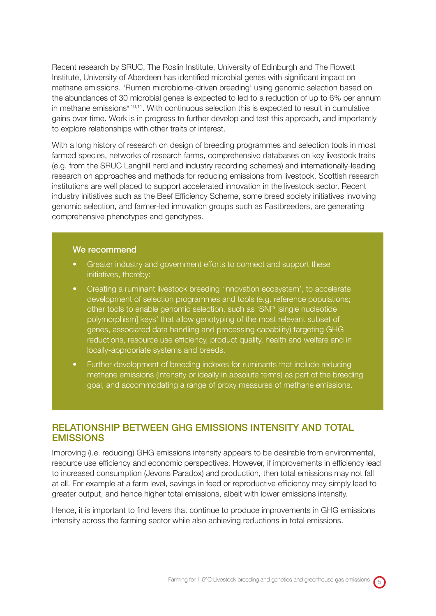Recent research by SRUC, The Roslin Institute, University of Edinburgh and The Rowett Institute, University of Aberdeen has identified microbial genes with significant impact on methane emissions. 'Rumen microbiome-driven breeding' using genomic selection based on the abundances of 30 microbial genes is expected to led to a reduction of up to 6% per annum in methane emissions<sup>9,10,11</sup>. With continuous selection this is expected to result in cumulative gains over time. Work is in progress to further develop and test this approach, and importantly to explore relationships with other traits of interest.

With a long history of research on design of breeding programmes and selection tools in most farmed species, networks of research farms, comprehensive databases on key livestock traits (e.g. from the SRUC Langhill herd and industry recording schemes) and internationally-leading research on approaches and methods for reducing emissions from livestock, Scottish research institutions are well placed to support accelerated innovation in the livestock sector. Recent industry initiatives such as the Beef Efficiency Scheme, some breed society initiatives involving genomic selection, and farmer-led innovation groups such as Fastbreeders, are generating comprehensive phenotypes and genotypes.

#### We recommend

- Greater industry and government efforts to connect and support these initiatives, thereby:
- Creating a ruminant livestock breeding 'innovation ecosystem', to accelerate development of selection programmes and tools (e.g. reference populations; other tools to enable genomic selection, such as 'SNP [single nucleotide polymorphism] keys' that allow genotyping of the most relevant subset of genes, associated data handling and processing capability) targeting GHG reductions, resource use efficiency, product quality, health and welfare and in locally-appropriate systems and breeds.
- Further development of breeding indexes for ruminants that include reducing methane emissions (intensity or ideally in absolute terms) as part of the breeding goal, and accommodating a range of proxy measures of methane emissions.

## RELATIONSHIP BETWEEN GHG EMISSIONS INTENSITY AND TOTAL **EMISSIONS**

Improving (i.e. reducing) GHG emissions intensity appears to be desirable from environmental, resource use efficiency and economic perspectives. However, if improvements in efficiency lead to increased consumption (Jevons Paradox) and production, then total emissions may not fall at all. For example at a farm level, savings in feed or reproductive efficiency may simply lead to greater output, and hence higher total emissions, albeit with lower emissions intensity.

Hence, it is important to find levers that continue to produce improvements in GHG emissions intensity across the farming sector while also achieving reductions in total emissions.